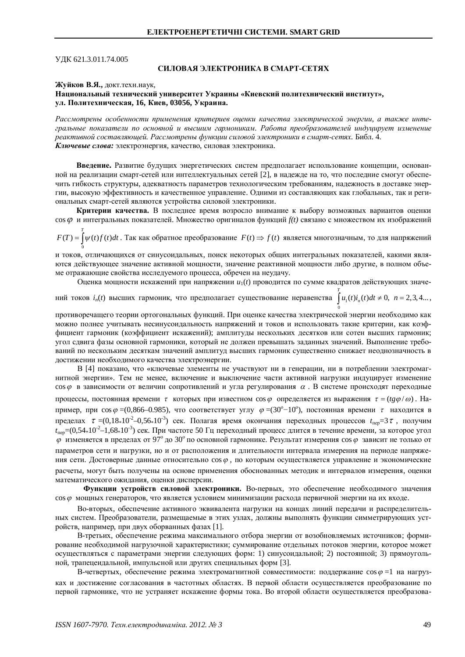УЛК 621.3.011.74.005

# СИЛОВАЯ ЭЛЕКТРОНИКА В СМАРТ-СЕТЯХ

#### Жуйков В.Я., локт. техн. на ук.

### Национальный технический университет Украины «Киевский политехнический институт», **ɭɥ. ɉɨɥɢɬɟɯɧɢɱɟɫɤɚɹ, 16, Ʉɢɟɜ, 03056, ɍɤɪɚɢɧɚ.**

Рассмотрены особенности применения критериев оценки качества электрической энергии, а также интегральные показатели по основной и высшим гармоникам. Работа преобразователей индуцирует изменение  $pa$ ктивной составляющей. Рассмотрены функции силовой электроники в смарт-сетях. Библ. 4. Ключевые слова: электроэнергия, качество, силовая электроника.

Введение. Развитие будущих энергетических систем предполагает использование концепции, основанной на реализации смарт-сетей или интеллектуальных сетей [2], в надежде на то, что последние смогут обеспечить гибкость структуры, адекватность параметров технологическим требованиям, надежность в доставке энергии, высокую эффективность и качественное управление. Одними из составляющих как глобальных, так и региональных смарт-сетей являются устройства силовой электроники.

Критерии качества. В последнее время возросло внимание к выбору возможных вариантов оценки cos  $\varphi$  и интегральных показателей. Множество оригиналов функций  $f(t)$  связано с множеством их изображений *T*

0  $F(T) = \int \psi(t) f(t) dt$ . Так как обратное преобразование  $F(t) \Rightarrow f(t)$  является многозначным, то для напряжений

и токов, отличающихся от синусоидальных, поиск некоторых общих интегральных показателей, какими являются действующее значение активной мощности, значение реактивной мощности либо другие, в полном объеме отражающие свойства исследуемого процесса, обречен на неудачу.

Оценка мощности искажений при напряжении  $u_1(t)$  проводится по сумме квадратов действующих значе-

ний токов  $i_n(t)$  высших гармоник, что предполагает существование неравенства  $u_1(t)i_n(t)dt \neq 0$ ,  $n = 2,3,4...$  $\mathbf 0$ *T*  $\int u_1(t) i_n(t) dt \neq 0, \ \ n = 2, 3, 4...$ 

противоречащего теории ортогональных функций. При оценке качества электрической энергии необходимо как можно полнее учитывать несинусоидальность напряжений и токов и использовать такие критерии, как коэффициент гармоник (коэффициент искажений); амплитуды нескольких десятков или сотен высших гармоник; угол сдвига фазы основной гармоники, который не должен превышать заданных значений. Выполнение требований по нескольким десяткам значений амплитуд высших гармоник существенно снижает неоднозначность в достижении необходимого качества электроэнергии.

В [4] показано, что «ключевые элементы не участвуют ни в генерации, ни в потреблении электромагнитной энергии». Тем не менее, включение и выключение части активной нагрузки индуцирует изменение  $\cos\varphi$  в зависимости от величин сопротивлений и угла регулирования  $\alpha$ . В системе происходят переходные процессы, постоянная времени  $\tau$  которых при известном сов  $\varphi$  определяется из выражения  $\tau = (tg\varphi/\varphi)$ . Например, при  $\cos\varphi = (0.866 - 0.985)$ , что соответствует углу  $\varphi = (30^{\circ} - 10^{\circ})$ , постоянная времени  $\tau$  находится в пределах  $\tau = (0,18*10^{-2} - 0.56*10^{-3})$  сек. Полагая время окончания переходных процессов  $t_{\text{rep}} = 3\tau$ , получим *t*<sub>Icn</sub>=(0,54\*10<sup>-2</sup>–1,68\*10<sup>-3</sup>) сек. При частоте 50 Гц переходный процесс длится в течение времени, за которое угол  $\varphi$  изменяется в пределах от 97° до 30° по основной гармонике. Результат измерения соз $\varphi$  зависит не только от параметров сети и нагрузки, но и от расположения и длительности интервала измерения на периоле напряжения сети. Достоверные данные относительно соз  $\varphi$ , по которым осуществляется управление и экономические расчеты, могут быть получены на основе применения обоснованных методик и интервалов измерения, оценки математического ожилания, оценки лисперсии.

Функции устройств силовой электроники. Во-первых, это обеспечение необходимого значения соs  $\varphi$  мощных генераторов, что является условием минимизации расхода первичной энергии на их входе.

Во-вторых, обеспечение активного эквивалента нагрузки на концах линий передачи и распределительных систем. Преобразователи, размещаемые в этих узлах, должны выполнять функции симметрирующих устройств, например, при двух оборванных фазах [1].

В-третьих, обеспечение режима максимального отбора энергии от возобновляемых источников; формирование необходимой нагрузочной характеристики; суммирование отдельных потоков энергии, которое может осуществляться с параметрами энергии следующих форм: 1) синусоидальной; 2) постоянной; 3) прямоугольной, трапецеидальной, импульсной или других специальных форм [3].

В-четвертых, обеспечение режима электромагнитной совместимости: поддержание  $\cos \varphi =1$  на нагрузках и достижение согласования в частотных областях. В первой области осуществляется преобразование по первой гармонике, что не устраняет искажение формы тока. Во второй области осуществляется преобразова